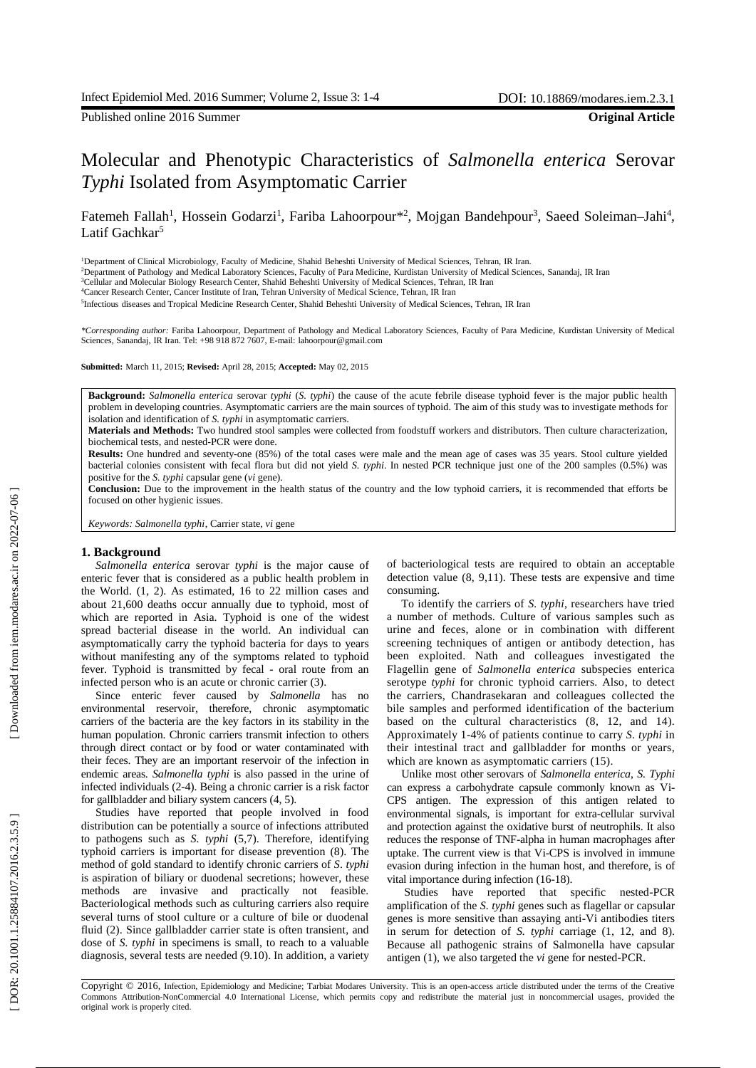Published online 2016 Summer **Original Article**

# Molecular and Phenotypic Characteristics of *Salmonella enterica* Serovar *Typhi* Isolated from Asymptomatic Carrier

Fatemeh Fallah<sup>1</sup>, Hossein Godarzi<sup>1</sup>, Fariba Lahoorpour<sup>\*2</sup>, Mojgan Bandehpour<sup>3</sup>, Saeed Soleiman–Jahi<sup>4</sup>, Latif Gachkar<sup>5</sup>

<sup>1</sup>Department of Clinical Microbiology, Faculty of Medicine, Shahid Beheshti University of Medical Sciences, Tehran, IR Iran.

<sup>2</sup>Department of Pathology and Medical Laboratory Sciences, Faculty of Para Medicine, Kurdistan University of Medical Sciences, Sanandaj, IR Iran

<sup>3</sup>Cellular and Molecular Biology Research Center, Shahid Beheshti University of Medical Sciences, Tehran, IR Iran 4Cancer Research Center, Cancer Institute of Iran, Tehran University of Medical Science, Tehran, IR Iran

<sup>5</sup>Infectious diseases and Tropical Medicine Research Center, Shahid Beheshti University of Medical Sciences, Tehran, IR Iran

*\*Corresponding author :* Fariba Lahoorpour, Department of Pathology and Medical Laboratory Sciences, Faculty of Para Medicine, Kurdistan University of Medical Sciences, Sanandaj, IR Iran. Tel: +98 918 872 7607, E -mail: lahoorpour@gmail.com

**Submitted:** March 11, 2015; **Revised:** April 28, 2015; **Accepted:** May 02, 2015

**Background :** *Salmonella enterica* serovar *typhi* (*S. typhi*) the cause of the acute febrile disease typhoid fever is the major public health problem in developing countries . Asymptomatic carriers are the main source s of typhoid . The aim of this study was to investigate methods for isolation and identification of *S. typhi* in asymptomatic carrier s .

**Material s and Methods:** Two hundred stool samples were collected from foodstuff workers and distributors . Then culture characterization, biochemical tests , and nested -PCR were done.

**Results:** One hundred and seventy -one (85%) of the total cases were male and the mean age of cases was 35 years. Stool culture yielded bacterial colonies consistent with fecal flora but did not yield *S. typhi*. In nested PCR technique just one of the 200 samples (0.5%) was positive for the *S. typhi* capsular gene ( *vi* gene).

**Conclusion:** Due to the improvement in the health status of the country and the low typhoid carriers, it is recommended that efforts be focused on other hygienic issues.

*Keywords : Salmonella typhi*, Carrier state, *vi* gene

## **1. Background**

*Salmonella enterica* serovar *typhi* is the major cause of enteric fever that is considered as a public health problem in the World. (1, 2). A s estimated , 16 to 22 million cases and about 21,600 deaths occur annually due to typhoid, most of which are reported in Asia. Typhoid is one of the widest spread bacterial disease in the world. An individual can asymptomatically carry the typhoid bacteria for days to years without manifesting any of the symptoms related to typhoid fever. Typhoid is transmitted by fecal - oral route from an infected person who is an acute or chronic carrier ( 3).

Since enteric fever caused by *Salmonella* has no environmental reservoir, therefore , chronic asymptomatic carriers of the bacteria are the key factors in its stability in the human population. Chronic carriers transmit infection to others through direct contact or by food or water contaminated with their feces. They are an important reservoir of the infection in endemic areas. *Salmonella typhi* is also passed in the urine of infected individuals ( 2 -4) . Being a chronic carrier is a risk factor for gallbladder and biliary system cancer s ( 4, 5).

Studies have reported that people involved in food distribution can be potentially a source of infections attributed to pathogens such as *S. typhi* (5,7). Therefore, identifying typhoid carriers is important for disease prevention ( 8 ) . The method of gold standard to identify chronic carriers of *S* . *typhi* is aspiration of biliary or duodenal secretions; however, these methods are invasive and practically not feasible. Bacteriological methods such as culturing carriers also require several turns of stool culture or a culture of bile or duodenal fluid (2). Since gallbladder carrier state is often transient, and dose of *S . typhi* in specimens is small, to reach to a valuable diagnosis, several tests are needed ( 9 *.*10). In addition, a variety of bacteriological tests are required to obtain an acceptable detection value (8, 9,1 1 ). These tests are expensive and time consuming.

To identify the carriers of *S. typhi*, researchers have tried a number of methods. Culture of various samples such as urine and feces, alone or in combination with different screening techniques of antigen or antibody detection , ha s been exploited. Nath and colleagues investigated the Flagellin gene of *Salmonella enterica* subspecies enterica serotype *typhi* for chronic typhoid carriers. Also , to detect the carriers, Chandrasekaran and colleagues collected the bile samples and performed identification of the bacterium based on the cultural characteristics (8 , 12, and 14). Approximately 1 -4% of patients continue to carry *S. typhi* in their intestinal tract and gallbladder for months or years, which are known as asymptomatic carriers  $(15)$ .

Unlike most other serovars of *Salmonella enterica*, *S. Typhi* can express a carbohydrate capsule commonly known as Vi - CPS antigen. The expression of this antigen related to environmental signals, is important for extra -cellular survival and protection against the oxidative burst of neutrophils . It also reduces the response of TNF -alpha in human macrophages after uptake. The current view is that Vi -CPS is involved in immune evasion during infection in the human host , and therefore, is of vital importance during infection (16-18).

Studies have reported that specific nested -PCR amplification of the *S. typhi* genes such as flagellar or capsular gen es is more sensitive than assaying anti -Vi antibodies titers in serum for detection of *S. typhi* carriage (1, 12, and 8). Because all pathogenic strains of Salmonella have capsular antigen (1), we also targeted the *vi* gene for nested-PCR.

Copyright © 2016, Infection, Epidemiology and Medicine; Tarbiat Modares University. This is an open -access article distributed under the terms of the Creative Commons Attribution -NonCommercial 4.0 International License, which permits copy and redistribute the material just in noncommercial usages, provided the original work is properly cited .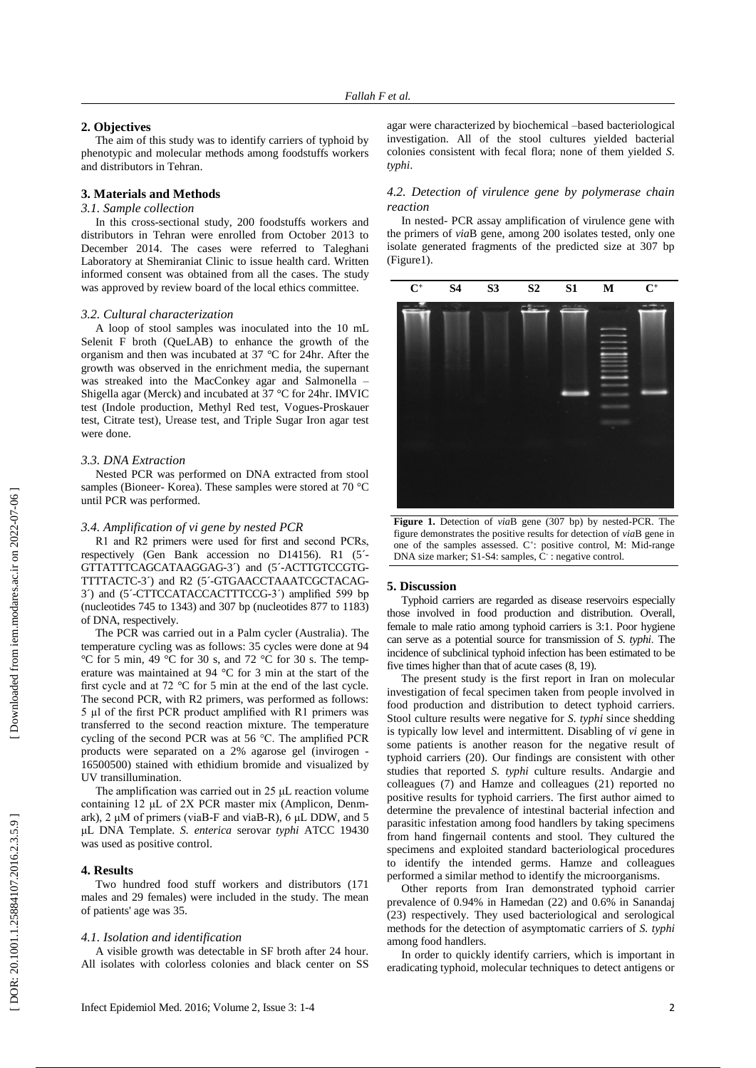### **2. Objectives**

The aim of this study was to identify carriers of typhoid by phenotypic and molecular methods among foodstuffs workers and distributors in Tehran.

# **3. Materials and Methods**

## *3.1. Sample collection*

In this cross -sectional study, 200 foodstuffs workers and distributors in Tehran were enrolled from October 2013 to December 2014. The cases were referred to Taleghani Laboratory at Shemiran iat Clinic to issue health card. Written informed consent was obtained from all the cases . The study was approved by review board of the local ethics committee.

## *3.2. Cultural characterization*

A loop of stool samples was inoculated into the 10 mL Selenit F broth (QueLAB) to enhance the growth of the organism and then was incubated at 37 °C for 24h r. After the growth was observed in the enrichment media , the supernant was streaked into the MacConkey agar and Salmonella – Shigella agar (Merck) and incubated at 37 °C for 24h r. IMVIC test (Indole production, Methyl Red test, Vogues -Proskauer test, Citrate test), Urease test , and Triple Sugar Iron agar test were done.

#### *3.3. DNA Extraction*

Nested PCR was performed on DNA extracted from stool samples (Bioneer- Korea). These samples were stored at 70 °C until PCR was performed.

# *3.4. Amplification of vi gene by nested PCR*

R1 and R2 primers were used for first and second PCRs, respectively (Gen Bank accession no D14156). R1 (5´ - GTTATTTCAGCATAAGGAG-3^) and (5'-ACTTGTCCGTG-TTTTACTC-3^) and R2 (5^-GTGAACCTAAATCGCTACAG-3´) and (5´ -CTTCCATACCACTTTCCG -3´) amplified 599 bp (nucleotides 745 to 1343) and 307 bp (nucleotides 877 to 1183) of DNA, respectively.

The PCR was carried out in a Palm cycler (Australia) . The temperature cycling was as follows: 35 cycles were done at 94 °C for 5 min, 49 °C for 30 s, and 72 °C for 30 s. The temp erature was maintained at 94 °C for 3 min at the start of the first cycle and at 72 °C for 5 min at the end of the last cycle. The second PCR, with R2 primers, was performed as follows: 5 µl of the first PCR product amplified with R1 primers was transferred to the second reaction mixture . The temperature cycling of the second PCR was at 56 °C. The amplified PCR products were separated on a 2% agarose gel (invirogen - 16500500) stained with ethidium bromide and visualized by UV transillumination.

The amplification was carried out in 25 μL reaction volume containing 12 μL of 2X PCR master mix (Amplicon, Denm ark), 2 μM of primers (viaB-F and viaB-R), 6 μL DDW, and 5 μL DNA Template. *S. enterica* serovar *typhi* ATCC 19430 was used as positive control.

#### **4. Results**

Two hundred food stuff workers and distributors (171 males and 29 female s) were included in the study. The mean of patients' age was 35.

#### *4.1. Isolation and identification*

A visible growth was detectable in SF broth after 24 hour. All isolates with colorless colonies and black center on SS

agar were characterized by biochemical –based bacteriological investigation. All of the stool cultures yielded bacterial colonies consistent with fecal flora; none of them yielded *S. typhi*.

# *4.2. Detection of virulence gene by polymerase chain reaction*

In nested - PCR assay amplification of virulence gene with the primers of *via*B gene, among 200 isolates tested , only one isolate generated fragments of the predicted size at 307 bp (Figure1).



**Figure 1.** Detection of *via*B gene (307 bp) by nested -PCR. The figure demonstrates the positive results for detection of *via*B gene in one of the samples assessed. C<sup>+</sup>: positive control, M: Mid-range DNA size marker; S1-S4: samples, C : negative control.

#### **5. Discussion**

Typhoid carriers are regarded as disease reservoir s especially those involved in food production and distribution. Overall , female to male ratio among typhoid carriers is 3:1 . Poor hygiene can serve as a potential source for transmission of *S. typhi* . The incidence of subclinical typhoid infection has been estimated to be five times higher than that of acute cases (8, 19).

The present study is the first report in Iran on molecular investigation of fecal specimen taken from people involved in food production and distribution to detect typhoid carriers. Stool culture results were negative for *S. typhi* since shedding is typically low level and intermittent. Disabling of *v i* gene in some patients is another reason for the negative result of typhoid carriers (20). Our findings are consistent with other studies that reported *S. typhi* culture results . Andargie and colleagues ( 7 ) and Hamze and colleagues ( 2 1 ) reported no positive results for typhoid carriers . The first author aimed to determine the prevalence of intestinal bacterial infection and parasitic infestation among food handlers by taking specimens from hand fingernail contents and stool. They cultured the specimens and exploited standard bacteriological procedures to identify the intended germs. Hamze and colleagues performed a similar method to identify the microorganisms.

Other reports from Iran demonstrated typhoid carrier prevalence of 0.94% in Hamedan (22 ) and 0.6% in Sanandaj (23 ) respectively. They used bacteriological and serological methods for the detection of asymptomatic carriers of *S. typhi* among food handlers.

In order to quickly identify carriers , which is important in eradicating typhoid, molecular techniques to detect antigens or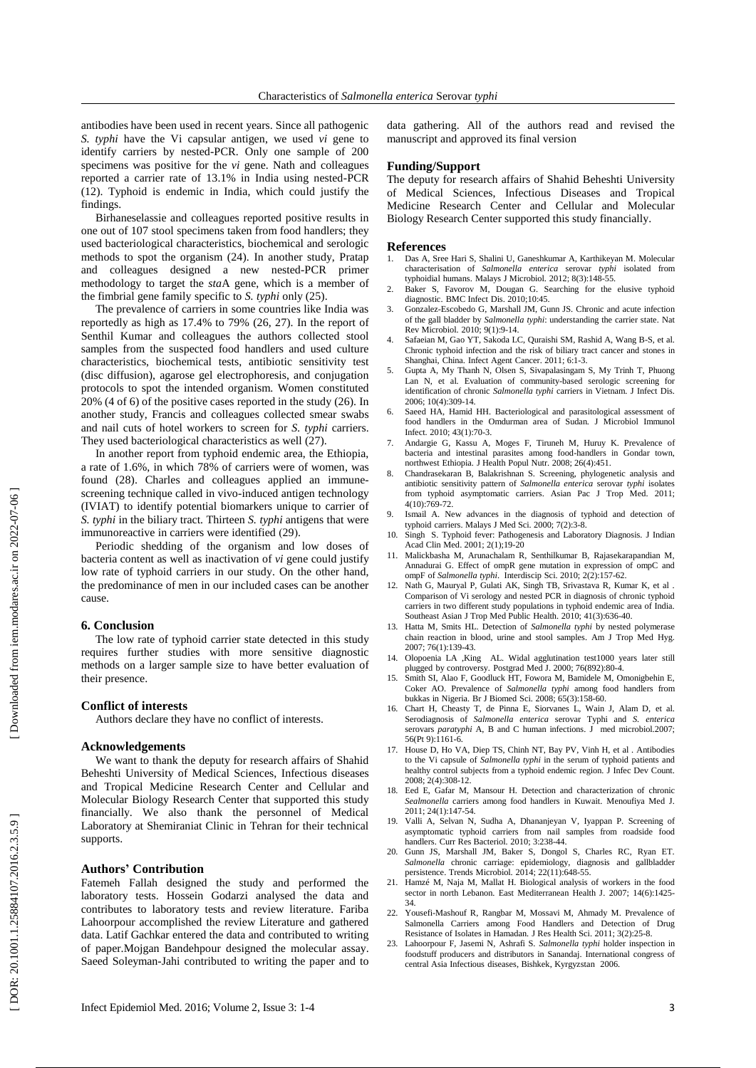antibodies have been used in recent years. Since all pathogenic *S. typhi* have the Vi capsular antigen, we used *vi* gene to identify carriers by nested -PCR. Only one sample of 200 specimens was positive for the *v i* gene. Nath and colleagues reported a carrier rate of 13.1% in India using nested -PCR (12). Typhoid is endemic in India, which could justify the findings.

Birhaneselassie and colleagues reported positive results in one out of 107 stool specimens taken from food handlers; they used bacteriological characteristics, biochemical and serologic methods to spot the organism (24 ) . In another study, Pratap and colleagues designed a new nested -PCR primer methodology to target the *sta*A gene, which is a member of the fimbrial gene family specific to *S . typhi* only (25 ) .

The prevalence of carriers in some countries like India was reportedly as high as 17.4% to 79% (26, 27 ) . In the report of Senthil Kumar and colleagues the authors collected stool samples from the suspected food handlers and used culture characteristics, biochemical tests, antibiotic sensitivity test (disc diffusion), agarose gel electrophoresis , and conjugation protocols to spot the intended organism. Women constituted 20% (4 of 6) of the positive cases reported in the study ( 2 6 ) . In another study, Francis and colleagues collected smear swabs and nail cuts of hotel workers to screen for *S. typhi* carriers. They used bacteriological characteristics as well (27).

In another report from typhoid endemic area, the Ethiopia, a rate of 1.6%, in which 78% of carriers were of women , was found (28). Charles and colleagues applied an immunescreening technique called in vivo -induced antigen technology (IVIAT) to identify potential biomarkers unique to carrier of *S. typhi* in the biliary tract. Thirteen *S. typhi* antigens that were immunoreactive in carriers were identified (29).

Periodic shedding of the organism and low doses of bacteria content as well as inactivation of *vi* gene could justify low rate of typhoid carriers in our study. On the other hand, the predominance of men in our included cases can be another cause.

#### **6. Conclusion**

The low rate of typhoid carrier state detected in this study requires further studies with more sensitive diagnostic methods on a larger sample size to have better evaluation of their presence.

## **Conflict of interest s**

Authors declare they have no conflict of interest s .

# **Acknowledgements**

We want to thank the deputy for research affairs of Shahid Beheshti University of Medical Sciences , Infectious diseases and Tropical Medicine Research Center and Cellular and Molecular Biology Research Center that supported this study financially. We also thank the personnel of Medical Laboratory at Shemiraniat Clinic in Tehran for their technical supports.

## **Authors ' Contribution**

Fatemeh Fallah designed the study and performed the laboratory tests. Hossein Godarzi analysed the data and contributes to laboratory tests and review literature. Fariba Lahoorpour accomplished the review Literature and gathered data. Latif Gachkar entered the data and contributed to writing of paper.Mojgan Bandehpour designed the molecular assay . Saeed Soleyman -Jahi contributed to writing the paper and to

data gathering . All of the authors read and revised the manuscript and approved its final version

#### **Funding/Support**

The deputy for research affairs of Shahid Beheshti University of Medical Sciences, Infectious Diseases and Tropical Medicine Research Center and Cellular and Molecular Biology Research Center supported this study financially .

# **References**<br>1. Das A, Sree

- 1. Das A, Sree Hari S, Shalini U, Ganeshkumar A, Karthikeyan M. Molecular characterisation of *Salmonella enterica* serovar *typhi* isolated from typhoidial humans. Malays J Microbiol. 2012; 8(3):148 -55.
- 2. Baker S, Favorov M, Dougan G. Searching for the elusive typhoid diagnostic. BMC Infect Dis. 2010;10 :45.
- 3. Gonzalez -Escobedo G, Marshall JM, Gunn JS. Chronic and acute infection of the gall bladder by *Salmonella typhi*: understanding the carrier state. Nat Rev Microbiol. 2010; 9(1):9 -14.
- 4. Safaeian M, Gao YT, Sakoda LC, Quraishi SM, Rashid A, Wang B -S, et al. Chronic typhoid infection and the risk of biliary tract cancer and stones in Shanghai, China. Infect Agent Cancer. 2011; 6:1 -3.
- 5. Gupta A, My Thanh N, Olsen S, Sivapalasingam S, My Trinh T, Phuong Lan N, et al. Evaluation of community -based serologic screening for identification of chronic *Salmonella typhi* carriers in Vietnam. J Infect Dis . 2006; 10(4):309 -14.
- 6. Saeed HA, Hamid HH. Bacteriological and parasitological assessment of food handlers in the Omdurman area of Sudan. J Microbiol Immunol Infect . 2010; 43(1):70 -3.
- 7. Andargie G, Kassu A, Moges F, Tiruneh M, Huruy K. Prevalence of bacteria and intestinal parasites among food -handlers in Gondar town, northwest Ethiopia. J Health Popul Nutr . 2008; 26(4):451.
- 8. Chandrasekaran B, Balakrishnan S. Screening, phylogenetic analysis and antibiotic sensitivity pattern of *Salmonella enterica* serovar *typhi* isolates from typhoid asymptomatic carriers. Asian Pac J Trop Med. 2011; 4(10):769-72.
- 9. Ismail A. New advances in the diagnosis of typhoid and detection of typhoid carriers. Malays J Med Sci. 2000; 7(2):3-8.
- 10. Singh S. Typhoid fever: Pathogenesis and Laboratory Diagnosis. J Indian Acad Clin Med. 2001; 2(1);19 -20
- 11. Malickbasha M, Arunachalam R, Senthilkumar B, Rajasekarapandian M, Annadurai G. Effect of ompR gene mutation in expression of ompC and ompF of *Salmonella typhi*. Interdiscip Sci . 2010; 2 (2):157 -62.
- 12. Nath G, Mauryal P, Gulati AK, Singh TB, Srivastava R, Kumar K, et al . Comparison of Vi serology and nested PCR in diagnosis of chronic typhoid carriers in two different study populations in typhoid endemic area of India. Southeast Asian J Trop Med Public Health. 2010; 41(3):636 -40.
- 13. Hatta M, Smits HL. Detection of *Salmonella typhi* by nested polymerase chain reaction in blood, urine and stool samples. Am J Trop Med Hyg . 2007; 76(1):139 -43.
- 14. Olopoenia LA ,King AL. Widal agglutination test1000 years later still plugged by controversy. Postgrad Med J . 2000; 76(892):80 -4.
- 15. Smith SI, Alao F, Goodluck HT, Fowora M, Bamidele M, Omonigbehin E, Coker AO. Prevalence of *Salmonella typhi* among food handlers from bukkas in Nigeria. Br J Biomed Sci . 2008; 65(3):158 -60.
- 16. Chart H, Cheasty T, de Pinna E, Siorvanes L, Wain J, Alam D, et al. Serodiagnosis of *Salmonella enterica* serovar Typhi and *S. enterica* serovars paratyphi A, B and C human infections. J med microbiol.2007; 56(Pt 9):1161 -6.
- 17. House D, Ho VA, Diep TS, Chinh NT, Bay PV, Vinh H, et al . Antibodies to the Vi capsule of *Salmonella typhi* in the serum of typhoid patients and healthy control subjects from a typhoid endemic region. J Infec Dev Count. 2008; 2(4):308 -12.
- 18. Eed E, Gafar M, Mansour H. Detection and characterization of chronic *Sealmonella* carriers among food handlers in Kuwait. Menoufiya Med J . 2011; 24(1) :147 -54.
- 19. Valli A, Selvan N, Sudha A, Dhananjeyan V, Iyappan P. Screening of asymptomatic typhoid carriers from nail samples from roadside food handlers. Curr Res Bacteriol. 2010; 3:238-44.
- 20. Gunn JS, Marshall JM, Baker S, Dongol S, Charles RC, Ryan ET. *Salmonella* chronic carriage: epidemiology, diagnosis and gallbladder persistence. Trends Microbiol . 2014; 22(11):648 -55.
- 21. Hamzé M, Naja M, Mallat H. Biological analysis of workers in the food sector in north Lebanon. East Mediterranean Health J. 2007; 14(6):1425 - 34.
- 22. Yousefi -Mashouf R, Rangbar M, Mossavi M, Ahmady M. Prevalence of Salmonella Carriers among Food Handlers and Detection of Drug Resistance of Isolates in Hamadan. J Res Health Sci . 2011; 3(2):25 -8.
- 23. Lahoorpour F, Jasemi N, Ashrafi S. *Salmonella typhi* holder inspection in foodstuff producers and distributors in Sanandaj. International congress of central Asia Infectious diseases, Bishkek , Kyrgyzstan 2006 .

DOR: 20.1001.1.25884107.2016.2.3.5.9